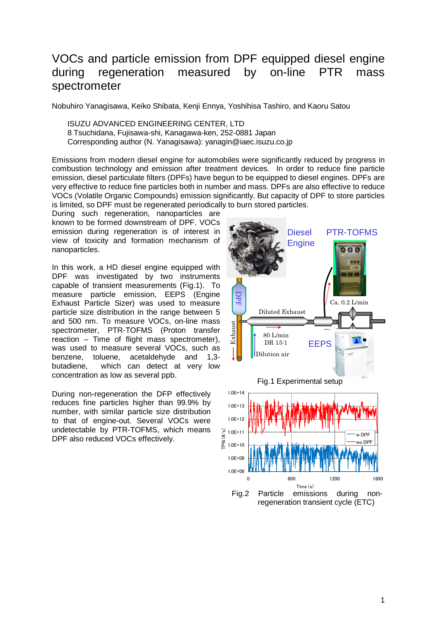#### VOCs and particle emission from DPF equipped diesel engine during regeneration measured by on-line PTR mass spectrometer

Nobuhiro Yanagisawa, Keiko Shibata, Kenji Ennya, Yoshihisa Tashiro, and Kaoru Satou

ISUZU ADVANCED ENGINEERING CENTER, LTD 8 Tsuchidana, Fujisawa-shi, Kanagawa-ken, 252-0881 Japan Corresponding author (N. Yanagisawa): yanagin@iaec.isuzu.co.jp

Emissions from modern diesel engine for automobiles were significantly reduced by progress in combustion technology and emission after treatment devices. In order to reduce fine particle emission, diesel particulate filters (DPFs) have begun to be equipped to diesel engines. DPFs are very effective to reduce fine particles both in number and mass. DPFs are also effective to reduce VOCs (Volatile Organic Compounds) emission significantly. But capacity of DPF to store particles is limited, so DPF must be regenerated periodically to burn stored particles.

During such regeneration, nanoparticles are known to be formed downstream of DPF. VOCs emission during regeneration is of interest in view of toxicity and formation mechanism of nanoparticles.

In this work, a HD diesel engine equipped with DPF was investigated by two instruments capable of transient measurements (Fig.1). To measure particle emission, EEPS (Engine Exhaust Particle Sizer) was used to measure particle size distribution in the range between 5 and 500 nm. To measure VOCs, on-line mass spectrometer, PTR-TOFMS (Proton transfer reaction – Time of flight mass spectrometer), was used to measure several VOCs, such as benzene, toluene, acetaldehyde and 1,3 butadiene, which can detect at very low concentration as low as several ppb.

During non-regeneration the DFP effectively reduces fine particles higher than 99.9% by number, with similar particle size distribution to that of engine-out. Several VOCs were undetectable by PTR-TOFMS, which means DPF also reduced VOCs effectively.

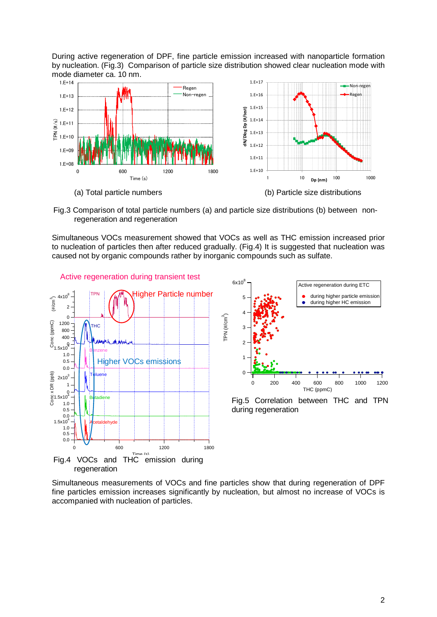During active regeneration of DPF, fine particle emission increased with nanoparticle formation by nucleation. (Fig.3) Comparison of particle size distribution showed clear nucleation mode with mode diameter ca. 10 nm.



Fig.3 Comparison of total particle numbers (a) and particle size distributions (b) between nonregeneration and regeneration

Simultaneous VOCs measurement showed that VOCs as well as THC emission increased prior to nucleation of particles then after reduced gradually. (Fig.4) It is suggested that nucleation was caused not by organic compounds rather by inorganic compounds such as sulfate.



Simultaneous measurements of VOCs and fine particles show that during regeneration of DPF fine particles emission increases significantly by nucleation, but almost no increase of VOCs is accompanied with nucleation of particles.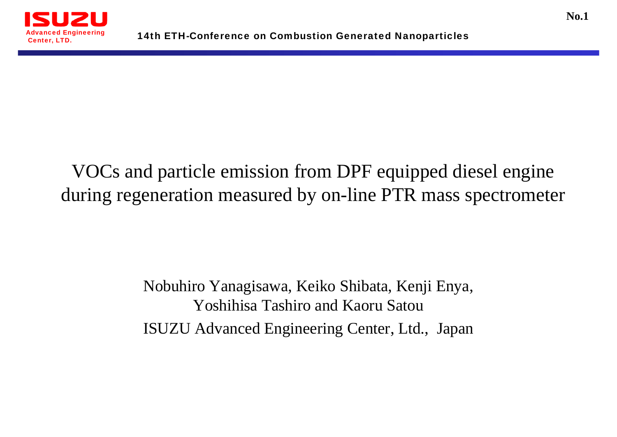

#### VOCs and particle emission from DPF equipped diesel engine during regeneration measured by on-line PTR mass spectrometer

#### Nobuhiro Yanagisawa, Keiko Shibata, Kenji Enya, Yoshihisa Tashiro and Kaoru Satou ISUZU Advanced Engineering Center, Ltd., Japan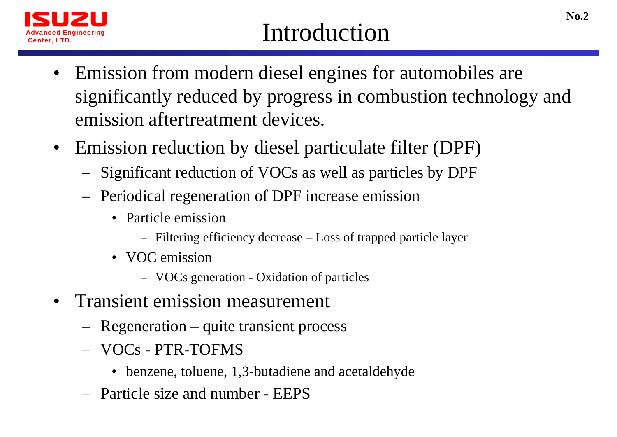

### Introduction

- $\bullet$  Emission from modern diesel engines for automobiles are significantly reduced by progress in combustion technology and emission aftertreatment devices.
- Emission reduction by diesel particulate filter (DPF)
	- <del>– 2000 2000 2000 2000 2000</del> Significant reduction of VOCs as well as particles by DPF
	- – Periodical regeneration of DPF increase emission
		- Particle emission
			- Filtering efficiency decrease Loss of trapped particle layer
		- VOC emission
			- VOCs generation Oxidation of particles
- Transient emission measurement
	- Regeneration quite transient process
	- VOCs PTR-TOFMS
		- benzene, toluene, 1,3-butadiene and acetaldehyde
	- Particle size and number EEPS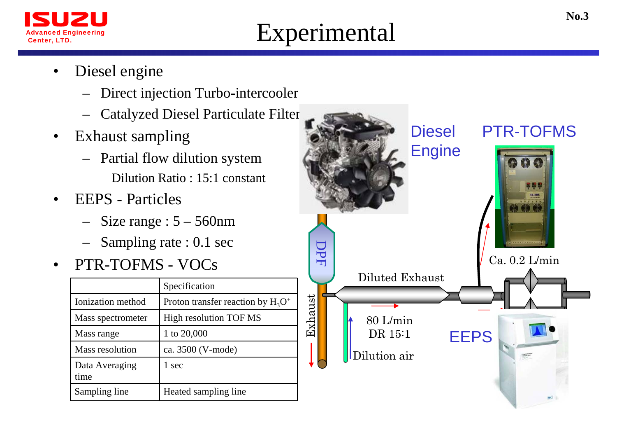

## Experimental

- • Diesel engine
	- Direct injection Turbo-intercooler
	- –Catalyzed Diesel Particulate Filter
- $\bullet$  Exhaust sampling
	- – Partial flow dilution system Dilution Ratio : 15:1 constant
- • EEPS - Particles
	- Size range : 5 560nm
	- Sampling rate : 0.1 sec
- $\bullet$ PTR-TOFMS - VOCs

|                        | Specification                        |
|------------------------|--------------------------------------|
| Ionization method      | Proton transfer reaction by $H_3O^+$ |
| Mass spectrometer      | High resolution TOF MS               |
| Mass range             | 1 to 20,000                          |
| Mass resolution        | ca. 3500 (V-mode)                    |
| Data Averaging<br>time | 1 sec                                |
| Sampling line          | Heated sampling line                 |

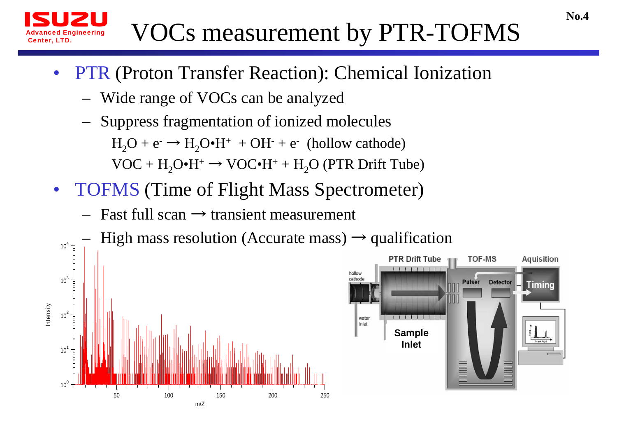

# VOCs measurement by PTR-TOFMS

- $\bullet$  PTR (Proton Transfer Reaction): Chemical Ionization
	- –Wide range of VOCs can be analyzed
	- – Suppress fragmentation of ionized molecules  $H_2O + e^- \rightarrow H_2O \cdot H^+ + OH^- + e^-$  (hollow cathode)  $VOC + H<sub>2</sub>O<sup>•</sup>H<sup>+</sup> \rightarrow VOC<sup>•</sup>H<sup>+</sup> + H<sub>2</sub>O$  (PTR Drift Tube)
- TOFMS (Time of Flight Mass Spectrometer)
	- Fast full scan  $\rightarrow$  transient measurement

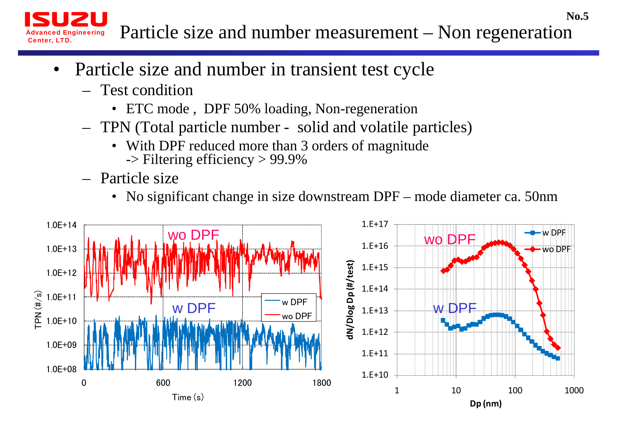Particle size and number measurement – Non regeneration

- • Particle size and number in transient test cycle
	- Test condition

Advanced Engineering

Center, LTD.

- ETC mode , DPF 50% loading, Non-regeneration
- TPN (Total particle number solid and volatile particles)
	- With DPF reduced more than 3 orders of magnitude -> Filtering efficiency > 99.9%
- Particle size
	- No significant change in size downstream DPF mode diameter ca. 50nm

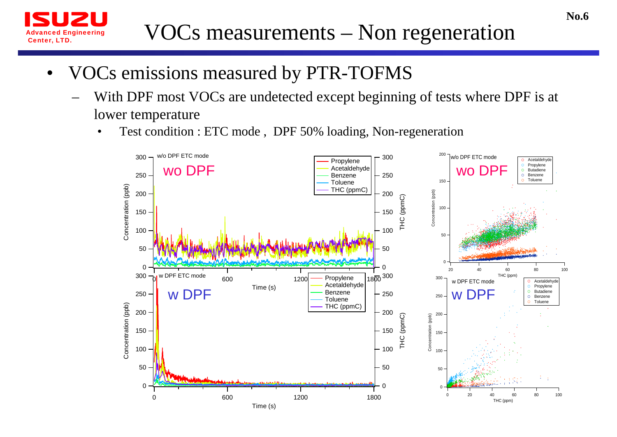

- • VOCs emissions measured by PTR-TOFMS
	- With DPF most VOCs are undetected except beginning of tests where DPF is at lower temperature
		- •Test condition : ETC mode , DPF 50% loading, Non-regeneration

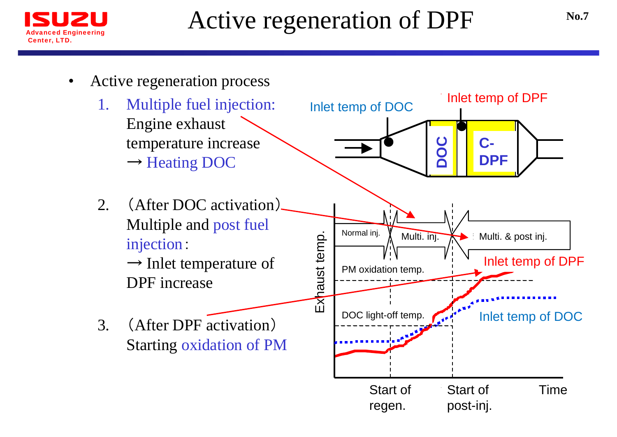

## Active regeneration of DPF

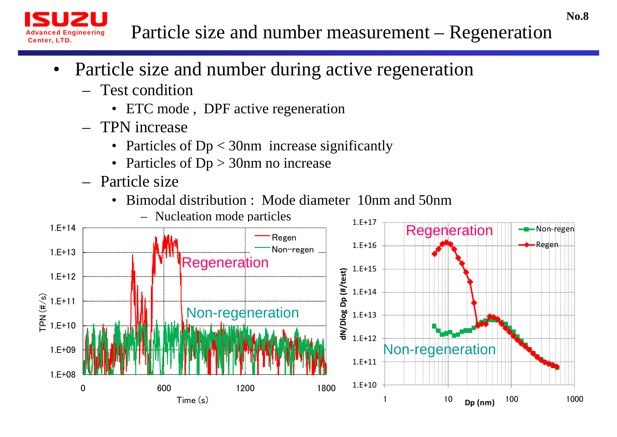#### Particle size and number measurement – Regeneration

- $\bullet$  Particle size and number during active regeneration
	- Test condition

anced Engineering

Center, LTD.

- ETC mode, DPF active regeneration
- TPN increase
	- Particles of Dp < 30nm increase significantly
	- Particles of Dp > 30nm no increase
- Particle size
	- $\bullet$ Bimodal distribution : Mode diameter 10nm and 50nm

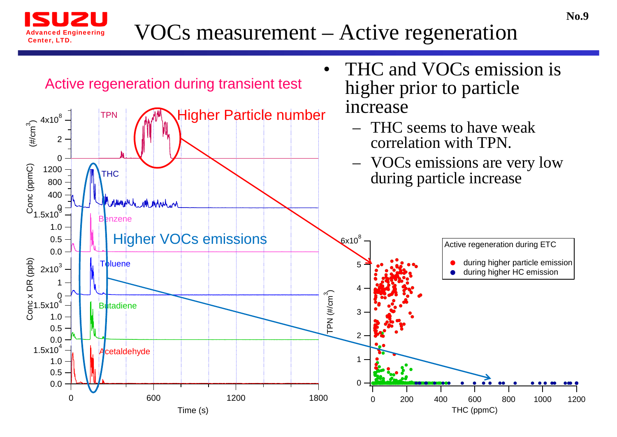

#### VOCs measurement – Active regeneration

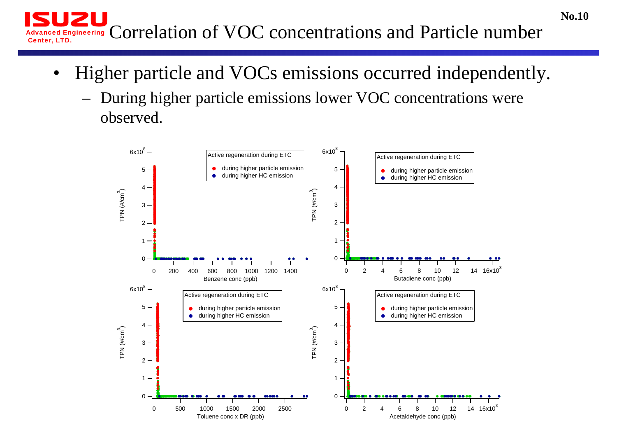Advanced Engineering Correlation of VOC concentrations and Particle number Center, LTD.

•Higher particle and VOCs emissions occurred independently.

**No.10**

– During higher particle emissions lower VOC concentrations were observed.

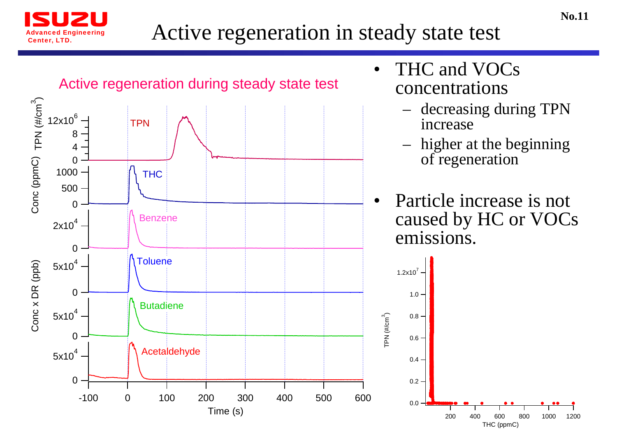

#### Active regeneration in steady state test

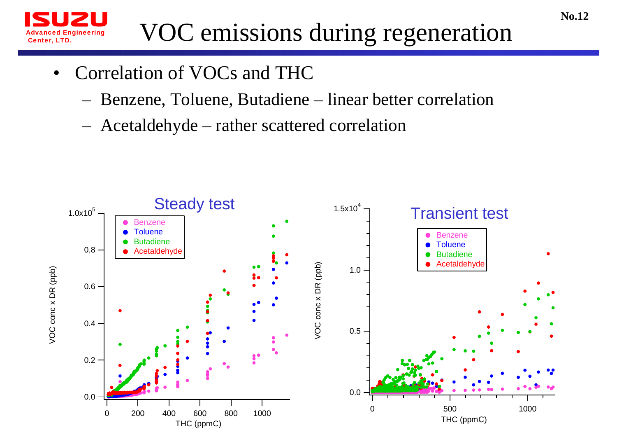![](_page_13_Picture_0.jpeg)

# VOC emissions during regeneration

- $\bullet$  Correlation of VOCs and THC
	- Benzene, Toluene, Butadiene linear better correlation
	- Acetaldehyde rather scattered correlation

![](_page_13_Figure_5.jpeg)